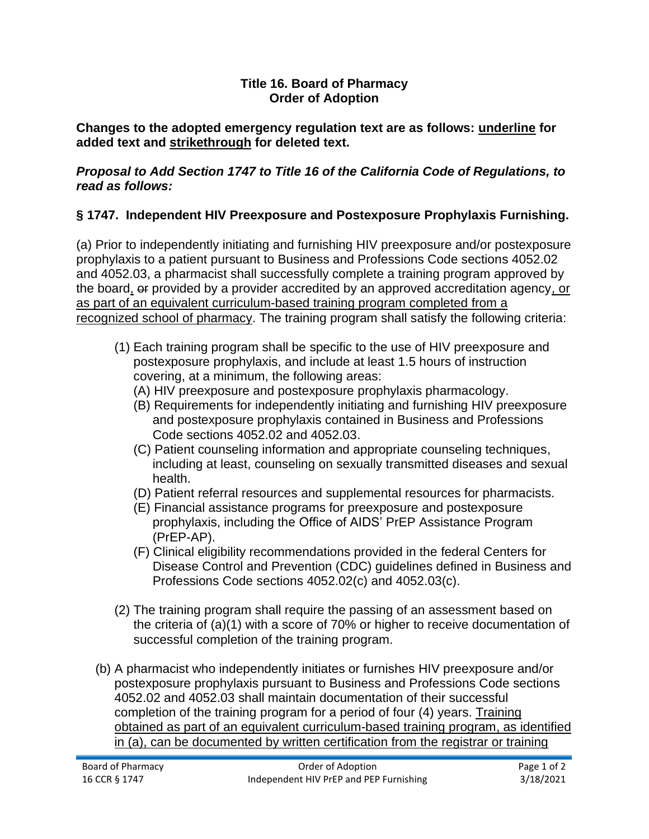## **Title 16. Board of Pharmacy Order of Adoption**

**Changes to the adopted emergency regulation text are as follows: underline for added text and strikethrough for deleted text.**

## *Proposal to Add Section 1747 to Title 16 of the California Code of Regulations, to read as follows:*

## **§ 1747. Independent HIV Preexposure and Postexposure Prophylaxis Furnishing.**

(a) Prior to independently initiating and furnishing HIV preexposure and/or postexposure prophylaxis to a patient pursuant to Business and Professions Code sections 4052.02 and 4052.03, a pharmacist shall successfully complete a training program approved by the board, or provided by a provider accredited by an approved accreditation agency, or as part of an equivalent curriculum-based training program completed from a recognized school of pharmacy. The training program shall satisfy the following criteria:

- (1) Each training program shall be specific to the use of HIV preexposure and postexposure prophylaxis, and include at least 1.5 hours of instruction covering, at a minimum, the following areas:
	- (A) HIV preexposure and postexposure prophylaxis pharmacology.
	- (B) Requirements for independently initiating and furnishing HIV preexposure and postexposure prophylaxis contained in Business and Professions Code sections 4052.02 and 4052.03.
	- (C) Patient counseling information and appropriate counseling techniques, including at least, counseling on sexually transmitted diseases and sexual health.
	- (D) Patient referral resources and supplemental resources for pharmacists.
	- (E) Financial assistance programs for preexposure and postexposure prophylaxis, including the Office of AIDS' PrEP Assistance Program (PrEP-AP).
	- (F) Clinical eligibility recommendations provided in the federal Centers for Disease Control and Prevention (CDC) guidelines defined in Business and Professions Code sections 4052.02(c) and 4052.03(c).
- (2) The training program shall require the passing of an assessment based on the criteria of (a)(1) with a score of 70% or higher to receive documentation of successful completion of the training program.
- (b) A pharmacist who independently initiates or furnishes HIV preexposure and/or postexposure prophylaxis pursuant to Business and Professions Code sections 4052.02 and 4052.03 shall maintain documentation of their successful completion of the training program for a period of four (4) years. Training obtained as part of an equivalent curriculum-based training program, as identified in (a), can be documented by written certification from the registrar or training